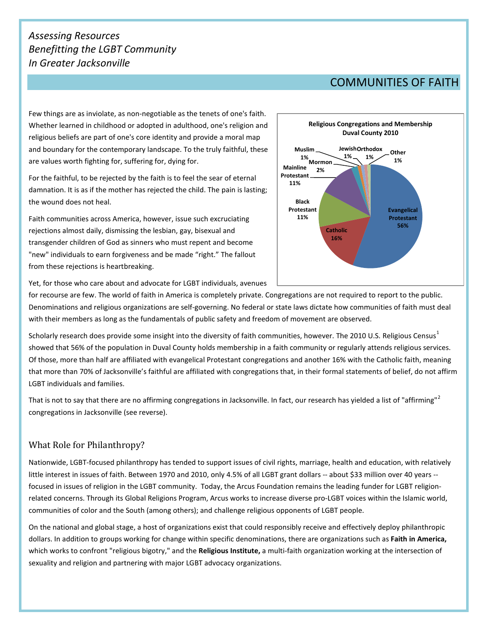## *Assessing Resources Benefitting the LGBT Community In Greater Jacksonville*

## COMMUNITIES OF FAITH

Few things are as inviolate, as non-negotiable as the tenets of one's faith. Whether learned in childhood or adopted in adulthood, one's religion and religious beliefs are part of one's core identity and provide a moral map and boundary for the contemporary landscape. To the truly faithful, these are values worth fighting for, suffering for, dying for.

For the faithful, to be rejected by the faith is to feel the sear of eternal damnation. It is as if the mother has rejected the child. The pain is lasting; the wound does not heal.

Faith communities across America, however, issue such excruciating rejections almost daily, dismissing the lesbian, gay, bisexual and transgender children of God as sinners who must repent and become "new" individuals to earn forgiveness and be made "right." The fallout from these rejections is heartbreaking.



Yet, for those who care about and advocate for LGBT individuals, avenues

for recourse are few. The world of faith in America is completely private. Congregations are not required to report to the public. Denominations and religious organizations are self-governing. No federal or state laws dictate how communities of faith must deal with their members as long as the fundamentals of public safety and freedom of movement are observed.

Scholarly research does provide some insight into the diversity of faith communities, however. The 20[1](#page-1-0)0 U.S. Religious Census<sup>1</sup> showed that 56% of the population in Duval County holds membership in a faith community or regularly attends religious services. Of those, more than half are affiliated with evangelical Protestant congregations and another 16% with the Catholic faith, meaning that more than 70% of Jacksonville's faithful are affiliated with congregations that, in their formal statements of belief, do not affirm LGBT individuals and families.

That is not to say that there are no affirming congregations in Jacksonville. In fact, our research has yielded a list of "affirming"<sup>[2](#page-1-1)</sup> congregations in Jacksonville (see reverse).

## What Role for Philanthropy?

Nationwide, LGBT-focused philanthropy has tended to support issues of civil rights, marriage, health and education, with relatively little interest in issues of faith. Between 1970 and 2010, only 4.5% of all LGBT grant dollars -- about \$33 million over 40 years - focused in issues of religion in the LGBT community. Today, the Arcus Foundation remains the leading funder for LGBT religionrelated concerns. Through its Global Religions Program, Arcus works to increase diverse pro-LGBT voices within the Islamic world, communities of color and the South (among others); and challenge religious opponents of LGBT people.

On the national and global stage, a host of organizations exist that could responsibly receive and effectively deploy philanthropic dollars. In addition to groups working for change within specific denominations, there are organizations such as **Faith in America,**  which works to confront "religious bigotry," and the **Religious Institute,** a multi-faith organization working at the intersection of sexuality and religion and partnering with major LGBT advocacy organizations.